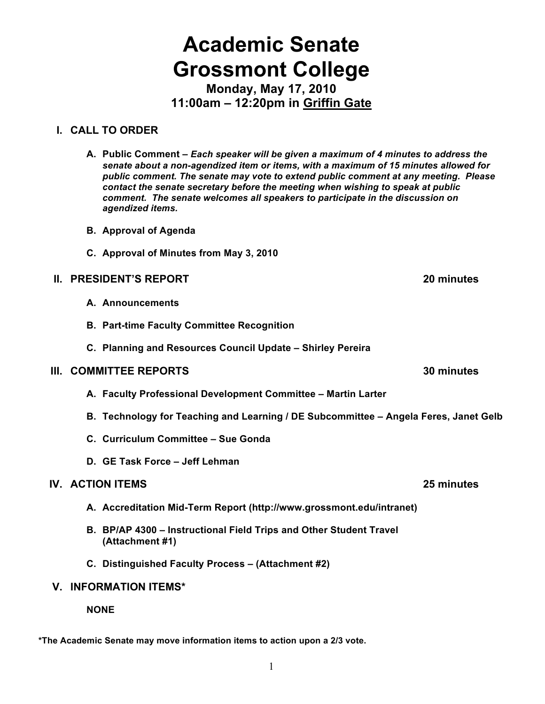# **Academic Senate Grossmont College**

**Monday, May 17, 2010 11:00am – 12:20pm in Griffin Gate**

## **I. CALL TO ORDER**

- **A. Public Comment –** *Each speaker will be given a maximum of 4 minutes to address the senate about a non-agendized item or items, with a maximum of 15 minutes allowed for public comment. The senate may vote to extend public comment at any meeting. Please contact the senate secretary before the meeting when wishing to speak at public comment. The senate welcomes all speakers to participate in the discussion on agendized items.*
- **B. Approval of Agenda**
- **C. Approval of Minutes from May 3, 2010**

## **II. PRESIDENT'S REPORT 20 minutes**

- **A. Announcements**
- **B. Part-time Faculty Committee Recognition**
- **C. Planning and Resources Council Update Shirley Pereira**

#### **III. COMMITTEE REPORTS 30 minutes**

- **A. Faculty Professional Development Committee Martin Larter**
- **B. Technology for Teaching and Learning / DE Subcommittee Angela Feres, Janet Gelb**
- **C. Curriculum Committee Sue Gonda**
- **D. GE Task Force Jeff Lehman**

## **IV. ACTION ITEMS 25 minutes**

- **A. Accreditation Mid-Term Report (http://www.grossmont.edu/intranet)**
- **B. BP/AP 4300 – Instructional Field Trips and Other Student Travel (Attachment #1)**
- **C. Distinguished Faculty Process (Attachment #2)**

## **V. INFORMATION ITEMS\***

**NONE**

**\*The Academic Senate may move information items to action upon a 2/3 vote.**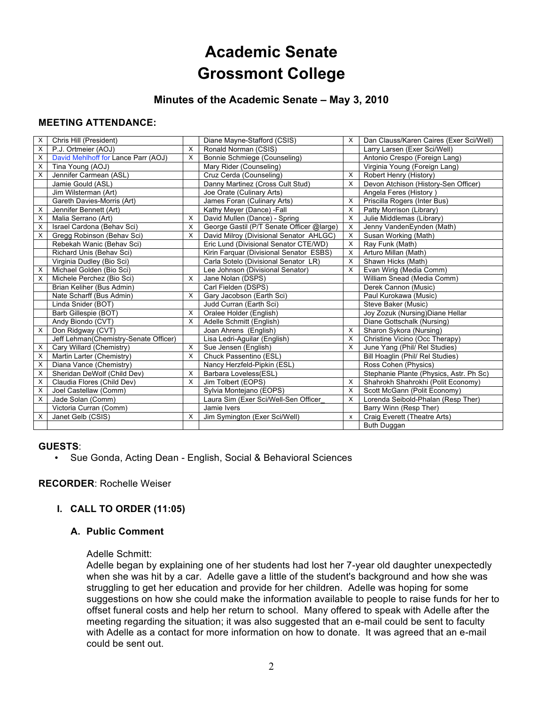## **Academic Senate Grossmont College**

## **Minutes of the Academic Senate – May 3, 2010**

#### **MEETING ATTENDANCE:**

| X | Chris Hill (President)                |          | Diane Mayne-Stafford (CSIS)               | X | Dan Clauss/Karen Caires (Exer Sci/Well) |
|---|---------------------------------------|----------|-------------------------------------------|---|-----------------------------------------|
| X | P.J. Ortmeier (AOJ)                   | $\times$ | Ronald Norman (CSIS)                      |   | Larry Larsen (Exer Sci/Well)            |
| X | David Mehlhoff for Lance Parr (AOJ)   | $\times$ | Bonnie Schmiege (Counseling)              |   | Antonio Crespo (Foreign Lang)           |
| X | Tina Young (AOJ)                      |          | Mary Rider (Counseling)                   |   | Virginia Young (Foreign Lang)           |
| X | Jennifer Carmean (ASL)                |          | Cruz Cerda (Counseling)                   | X | Robert Henry (History)                  |
|   | Jamie Gould (ASL)                     |          | Danny Martinez (Cross Cult Stud)          | X | Devon Atchison (History-Sen Officer)    |
|   | Jim Wilsterman (Art)                  |          | Joe Orate (Culinary Arts)                 |   | Angela Feres (History)                  |
|   | Gareth Davies-Morris (Art)            |          | James Foran (Culinary Arts)               | X | Priscilla Rogers (Inter Bus)            |
| X | Jennifer Bennett (Art)                |          | Kathy Meyer (Dance) -Fall                 | X | Patty Morrison (Library)                |
| X | Malia Serrano (Art)                   | $\times$ | David Mullen (Dance) - Spring             | X | Julie Middlemas (Library)               |
| X | Israel Cardona (Behav Sci)            | X        | George Gastil (P/T Senate Officer @large) | X | Jenny VandenEynden (Math)               |
| X | Gregg Robinson (Behav Sci)            | X        | David Milroy (Divisional Senator AHLGC)   | X | Susan Working (Math)                    |
|   | Rebekah Wanic (Behav Sci)             |          | Eric Lund (Divisional Senator CTE/WD)     | X | Ray Funk (Math)                         |
|   | Richard Unis (Behav Sci)              |          | Kirin Farquar (Divisional Senator ESBS)   | X | Arturo Millan (Math)                    |
|   | Virginia Dudley (Bio Sci)             |          | Carla Sotelo (Divisional Senator LR)      | Х | Shawn Hicks (Math)                      |
| X | Michael Golden (Bio Sci)              |          | Lee Johnson (Divisional Senator)          | X | Evan Wirig (Media Comm)                 |
| X | Michele Perchez (Bio Sci)             | X        | Jane Nolan (DSPS)                         |   | William Snead (Media Comm)              |
|   | Brian Keliher (Bus Admin)             |          | Carl Fielden (DSPS)                       |   | Derek Cannon (Music)                    |
|   | Nate Scharff (Bus Admin)              | X        | Gary Jacobson (Earth Sci)                 |   | Paul Kurokawa (Music)                   |
|   | Linda Snider (BOT)                    |          | Judd Curran (Earth Sci)                   |   | Steve Baker (Music)                     |
|   | Barb Gillespie (BOT)                  | X        | Oralee Holder (English)                   |   | Joy Zozuk (Nursing) Diane Hellar        |
|   | Andy Biondo (CVT)                     | X        | Adelle Schmitt (English)                  |   | Diane Gottschalk (Nursing)              |
| X | Don Ridgway (CVT)                     |          | Joan Ahrens (English)                     | X | Sharon Sykora (Nursing)                 |
|   | Jeff Lehman(Chemistry-Senate Officer) |          | Lisa Ledri-Aguilar (English)              | X | Christine Vicino (Occ Therapy)          |
| X | Cary Willard (Chemistry)              | X        | Sue Jensen (English)                      | X | June Yang (Phil/ Rel Studies)           |
| X | Martin Larter (Chemistry)             | $\times$ | Chuck Passentino (ESL)                    |   | Bill Hoaglin (Phil/ Rel Studies)        |
| X | Diana Vance (Chemistry)               |          | Nancy Herzfeld-Pipkin (ESL)               |   | Ross Cohen (Physics)                    |
| X | Sheridan DeWolf (Child Dev)           | X        | Barbara Loveless(ESL)                     |   | Stephanie Plante (Physics, Astr. Ph Sc) |
| X | Claudia Flores (Child Dev)            | X        | Jim Tolbert (EOPS)                        | X | Shahrokh Shahrokhi (Polit Economy)      |
| X | Joel Castellaw (Comm)                 |          | Sylvia Montejano (EOPS)                   | X | Scott McGann (Polit Economy)            |
| X | Jade Solan (Comm)                     |          | Laura Sim (Exer Sci/Well-Sen Officer      | X | Lorenda Seibold-Phalan (Resp Ther)      |
|   | Victoria Curran (Comm)                |          | Jamie Ivers                               |   | Barry Winn (Resp Ther)                  |
| X | Janet Gelb (CSIS)                     | X        | Jim Symington (Exer Sci/Well)             | X | Craig Everett (Theatre Arts)            |
|   |                                       |          |                                           |   | Buth Duggan                             |

#### **GUESTS**:

• Sue Gonda, Acting Dean - English, Social & Behavioral Sciences

#### **RECORDER**: Rochelle Weiser

#### **I. CALL TO ORDER (11:05)**

#### **A. Public Comment**

#### Adelle Schmitt:

Adelle began by explaining one of her students had lost her 7-year old daughter unexpectedly when she was hit by a car. Adelle gave a little of the student's background and how she was struggling to get her education and provide for her children. Adelle was hoping for some suggestions on how she could make the information available to people to raise funds for her to offset funeral costs and help her return to school. Many offered to speak with Adelle after the meeting regarding the situation; it was also suggested that an e-mail could be sent to faculty with Adelle as a contact for more information on how to donate. It was agreed that an e-mail could be sent out.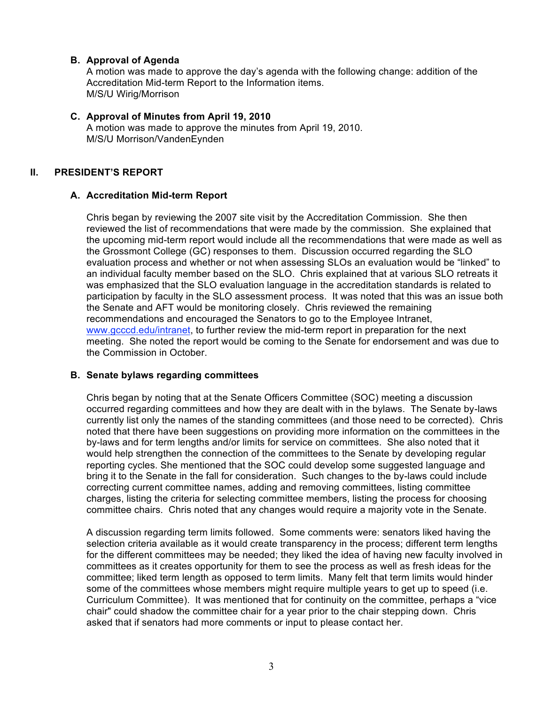#### **B. Approval of Agenda**

A motion was made to approve the day's agenda with the following change: addition of the Accreditation Mid-term Report to the Information items. M/S/U Wirig/Morrison

#### **C. Approval of Minutes from April 19, 2010**

A motion was made to approve the minutes from April 19, 2010. M/S/U Morrison/VandenEynden

#### **II. PRESIDENT'S REPORT**

#### **A. Accreditation Mid-term Report**

Chris began by reviewing the 2007 site visit by the Accreditation Commission. She then reviewed the list of recommendations that were made by the commission. She explained that the upcoming mid-term report would include all the recommendations that were made as well as the Grossmont College (GC) responses to them. Discussion occurred regarding the SLO evaluation process and whether or not when assessing SLOs an evaluation would be "linked" to an individual faculty member based on the SLO. Chris explained that at various SLO retreats it was emphasized that the SLO evaluation language in the accreditation standards is related to participation by faculty in the SLO assessment process. It was noted that this was an issue both the Senate and AFT would be monitoring closely. Chris reviewed the remaining recommendations and encouraged the Senators to go to the Employee Intranet, www.gcccd.edu/intranet, to further review the mid-term report in preparation for the next meeting. She noted the report would be coming to the Senate for endorsement and was due to the Commission in October.

#### **B. Senate bylaws regarding committees**

Chris began by noting that at the Senate Officers Committee (SOC) meeting a discussion occurred regarding committees and how they are dealt with in the bylaws. The Senate by-laws currently list only the names of the standing committees (and those need to be corrected). Chris noted that there have been suggestions on providing more information on the committees in the by-laws and for term lengths and/or limits for service on committees. She also noted that it would help strengthen the connection of the committees to the Senate by developing regular reporting cycles. She mentioned that the SOC could develop some suggested language and bring it to the Senate in the fall for consideration. Such changes to the by-laws could include correcting current committee names, adding and removing committees, listing committee charges, listing the criteria for selecting committee members, listing the process for choosing committee chairs. Chris noted that any changes would require a majority vote in the Senate.

A discussion regarding term limits followed. Some comments were: senators liked having the selection criteria available as it would create transparency in the process; different term lengths for the different committees may be needed; they liked the idea of having new faculty involved in committees as it creates opportunity for them to see the process as well as fresh ideas for the committee; liked term length as opposed to term limits. Many felt that term limits would hinder some of the committees whose members might require multiple years to get up to speed (i.e. Curriculum Committee). It was mentioned that for continuity on the committee, perhaps a "vice chair" could shadow the committee chair for a year prior to the chair stepping down. Chris asked that if senators had more comments or input to please contact her.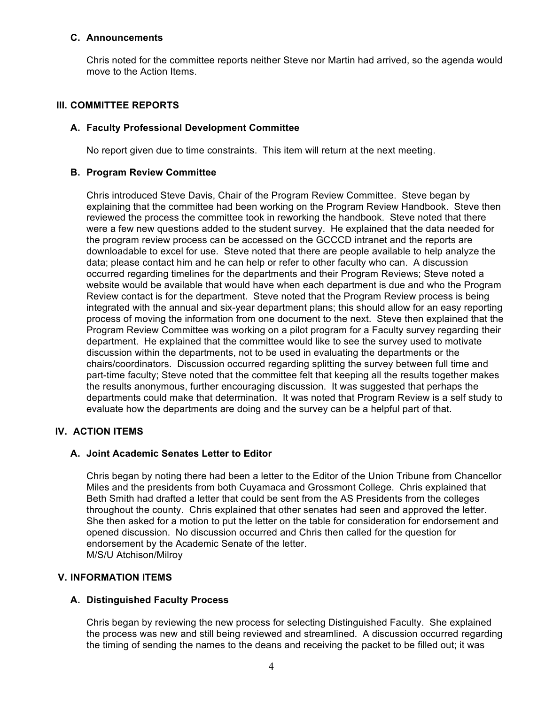#### **C. Announcements**

Chris noted for the committee reports neither Steve nor Martin had arrived, so the agenda would move to the Action Items.

#### **III. COMMITTEE REPORTS**

#### **A. Faculty Professional Development Committee**

No report given due to time constraints. This item will return at the next meeting.

#### **B. Program Review Committee**

Chris introduced Steve Davis, Chair of the Program Review Committee. Steve began by explaining that the committee had been working on the Program Review Handbook. Steve then reviewed the process the committee took in reworking the handbook. Steve noted that there were a few new questions added to the student survey. He explained that the data needed for the program review process can be accessed on the GCCCD intranet and the reports are downloadable to excel for use. Steve noted that there are people available to help analyze the data; please contact him and he can help or refer to other faculty who can. A discussion occurred regarding timelines for the departments and their Program Reviews; Steve noted a website would be available that would have when each department is due and who the Program Review contact is for the department. Steve noted that the Program Review process is being integrated with the annual and six-year department plans; this should allow for an easy reporting process of moving the information from one document to the next. Steve then explained that the Program Review Committee was working on a pilot program for a Faculty survey regarding their department. He explained that the committee would like to see the survey used to motivate discussion within the departments, not to be used in evaluating the departments or the chairs/coordinators. Discussion occurred regarding splitting the survey between full time and part-time faculty; Steve noted that the committee felt that keeping all the results together makes the results anonymous, further encouraging discussion. It was suggested that perhaps the departments could make that determination. It was noted that Program Review is a self study to evaluate how the departments are doing and the survey can be a helpful part of that.

#### **IV. ACTION ITEMS**

#### **A. Joint Academic Senates Letter to Editor**

Chris began by noting there had been a letter to the Editor of the Union Tribune from Chancellor Miles and the presidents from both Cuyamaca and Grossmont College. Chris explained that Beth Smith had drafted a letter that could be sent from the AS Presidents from the colleges throughout the county. Chris explained that other senates had seen and approved the letter. She then asked for a motion to put the letter on the table for consideration for endorsement and opened discussion. No discussion occurred and Chris then called for the question for endorsement by the Academic Senate of the letter. M/S/U Atchison/Milroy

#### **V. INFORMATION ITEMS**

#### **A. Distinguished Faculty Process**

Chris began by reviewing the new process for selecting Distinguished Faculty. She explained the process was new and still being reviewed and streamlined. A discussion occurred regarding the timing of sending the names to the deans and receiving the packet to be filled out; it was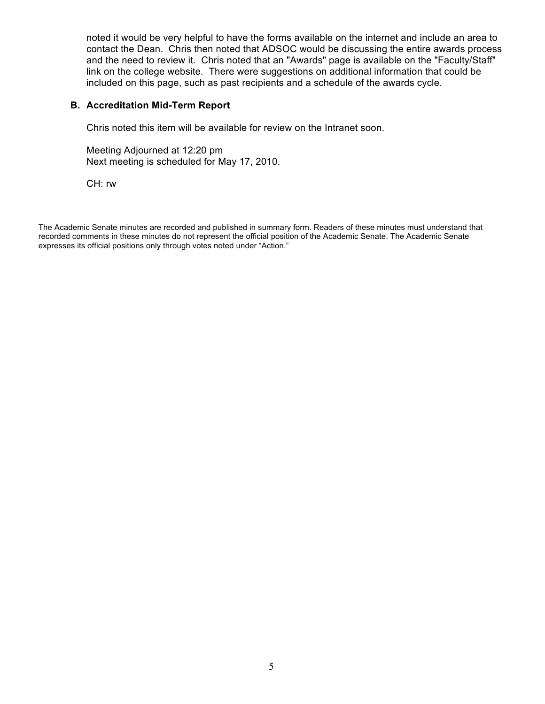noted it would be very helpful to have the forms available on the internet and include an area to contact the Dean. Chris then noted that ADSOC would be discussing the entire awards process and the need to review it. Chris noted that an "Awards" page is available on the "Faculty/Staff" link on the college website. There were suggestions on additional information that could be included on this page, such as past recipients and a schedule of the awards cycle.

#### **B. Accreditation Mid-Term Report**

Chris noted this item will be available for review on the Intranet soon.

Meeting Adjourned at 12:20 pm Next meeting is scheduled for May 17, 2010.

CH: rw

The Academic Senate minutes are recorded and published in summary form. Readers of these minutes must understand that recorded comments in these minutes do not represent the official position of the Academic Senate. The Academic Senate expresses its official positions only through votes noted under "Action."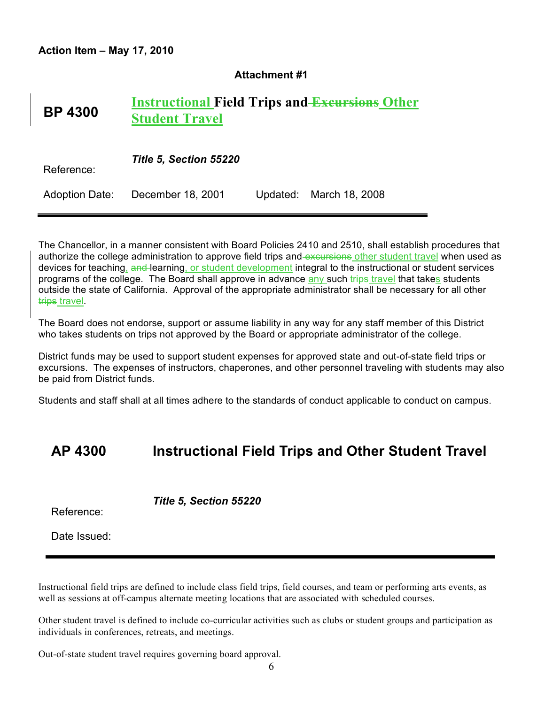#### **Attachment #1**

#### **BP 4300 Instructional Field Trips and Excursions Other Student Travel**

| Reference: | Title 5, Section 55220           |  |                         |  |  |  |
|------------|----------------------------------|--|-------------------------|--|--|--|
|            | Adoption Date: December 18, 2001 |  | Updated: March 18, 2008 |  |  |  |

The Chancellor, in a manner consistent with Board Policies 2410 and 2510, shall establish procedures that authorize the college administration to approve field trips and excursions other student travel when used as devices for teaching, and learning, or student development integral to the instructional or student services programs of the college. The Board shall approve in advance any such trips travel that takes students outside the state of California. Approval of the appropriate administrator shall be necessary for all other trips travel.

The Board does not endorse, support or assume liability in any way for any staff member of this District who takes students on trips not approved by the Board or appropriate administrator of the college.

District funds may be used to support student expenses for approved state and out-of-state field trips or excursions. The expenses of instructors, chaperones, and other personnel traveling with students may also be paid from District funds.

Students and staff shall at all times adhere to the standards of conduct applicable to conduct on campus.

## **AP 4300 Instructional Field Trips and Other Student Travel**

Reference:

*Title 5, Section 55220*

Date Issued:

Instructional field trips are defined to include class field trips, field courses, and team or performing arts events, as well as sessions at off-campus alternate meeting locations that are associated with scheduled courses.

Other student travel is defined to include co-curricular activities such as clubs or student groups and participation as individuals in conferences, retreats, and meetings.

Out-of-state student travel requires governing board approval.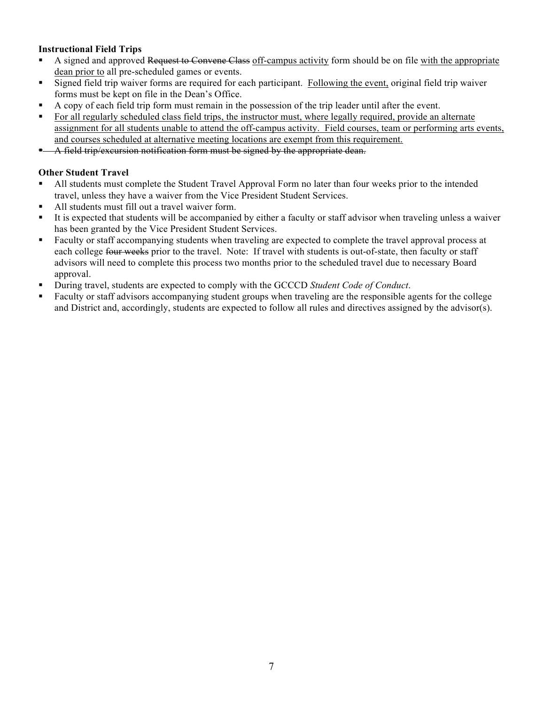#### **Instructional Field Trips**

- A signed and approved Request to Convene Class off-campus activity form should be on file with the appropriate dean prior to all pre-scheduled games or events.
- Signed field trip waiver forms are required for each participant. Following the event, original field trip waiver forms must be kept on file in the Dean's Office.
- A copy of each field trip form must remain in the possession of the trip leader until after the event.
- For all regularly scheduled class field trips, the instructor must, where legally required, provide an alternate assignment for all students unable to attend the off-campus activity. Field courses, team or performing arts events, and courses scheduled at alternative meeting locations are exempt from this requirement.
- A field trip/excursion notification form must be signed by the appropriate dean.

#### **Other Student Travel**

- All students must complete the Student Travel Approval Form no later than four weeks prior to the intended travel, unless they have a waiver from the Vice President Student Services.
- All students must fill out a travel waiver form.
- It is expected that students will be accompanied by either a faculty or staff advisor when traveling unless a waiver has been granted by the Vice President Student Services.
- Faculty or staff accompanying students when traveling are expected to complete the travel approval process at each college four weeks prior to the travel. Note: If travel with students is out-of-state, then faculty or staff advisors will need to complete this process two months prior to the scheduled travel due to necessary Board approval.
- During travel, students are expected to comply with the GCCCD *Student Code of Conduct*.
- Faculty or staff advisors accompanying student groups when traveling are the responsible agents for the college and District and, accordingly, students are expected to follow all rules and directives assigned by the advisor(s).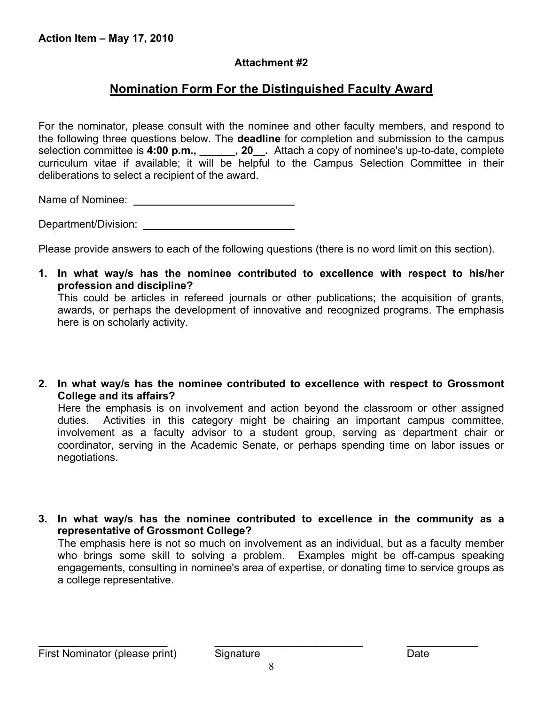## **Attachment #2**

## **Nomination Form For the Distinguished Faculty Award**

For the nominator, please consult with the nominee and other faculty members, and respond to the following three questions below. The **deadline** for completion and submission to the campus selection committee is **4:00 p.m., \_\_\_\_\_\_, 20\_\_.** Attach a copy of nominee's up-to-date, complete curriculum vitae if available; it will be helpful to the Campus Selection Committee in their deliberations to select a recipient of the award.

Name of Nominee: \_

Department/Division:

Please provide answers to each of the following questions (there is no word limit on this section).

**1. In what way/s has the nominee contributed to excellence with respect to his/her profession and discipline?** This could be articles in refereed journals or other publications; the acquisition of grants,

awards, or perhaps the development of innovative and recognized programs. The emphasis here is on scholarly activity.

**2. In what way/s has the nominee contributed to excellence with respect to Grossmont College and its affairs?**

Here the emphasis is on involvement and action beyond the classroom or other assigned duties. Activities in this category might be chairing an important campus committee, involvement as a faculty advisor to a student group, serving as department chair or coordinator, serving in the Academic Senate, or perhaps spending time on labor issues or negotiations.

**3. In what way/s has the nominee contributed to excellence in the community as a representative of Grossmont College?** The emphasis here is not so much on involvement as an individual, but as a faculty member who brings some skill to solving a problem. Examples might be off-campus speaking engagements, consulting in nominee's area of expertise, or donating time to service groups as a college representative.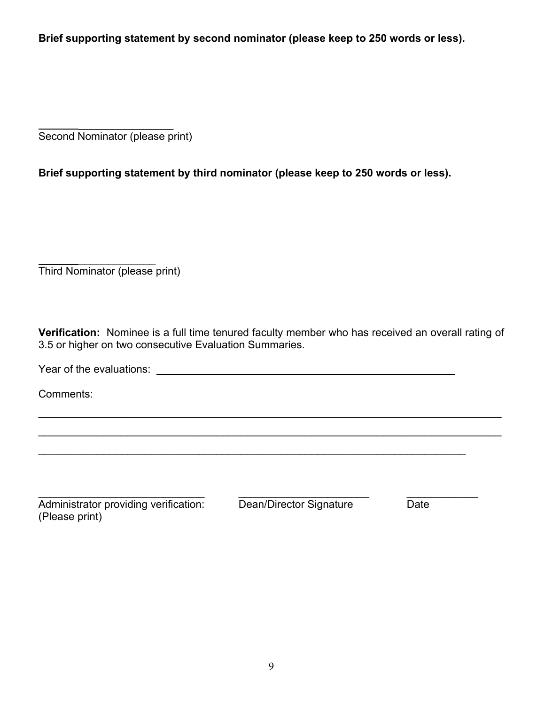**Brief supporting statement by second nominator (please keep to 250 words or less).**

 $\frac{1}{2}$ Second Nominator (please print)

**Brief supporting statement by third nominator (please keep to 250 words or less).**

 $\frac{1}{2}$ Third Nominator (please print)

**Verification:** Nominee is a full time tenured faculty member who has received an overall rating of 3.5 or higher on two consecutive Evaluation Summaries.

 $\mathcal{L}_\mathcal{L} = \mathcal{L}_\mathcal{L} = \mathcal{L}_\mathcal{L} = \mathcal{L}_\mathcal{L} = \mathcal{L}_\mathcal{L} = \mathcal{L}_\mathcal{L} = \mathcal{L}_\mathcal{L} = \mathcal{L}_\mathcal{L} = \mathcal{L}_\mathcal{L} = \mathcal{L}_\mathcal{L} = \mathcal{L}_\mathcal{L} = \mathcal{L}_\mathcal{L} = \mathcal{L}_\mathcal{L} = \mathcal{L}_\mathcal{L} = \mathcal{L}_\mathcal{L} = \mathcal{L}_\mathcal{L} = \mathcal{L}_\mathcal{L}$ 

 $\mathcal{L}_\text{max} = \mathcal{L}_\text{max} = \mathcal{L}_\text{max} = \mathcal{L}_\text{max} = \mathcal{L}_\text{max} = \mathcal{L}_\text{max} = \mathcal{L}_\text{max} = \mathcal{L}_\text{max} = \mathcal{L}_\text{max} = \mathcal{L}_\text{max} = \mathcal{L}_\text{max} = \mathcal{L}_\text{max} = \mathcal{L}_\text{max} = \mathcal{L}_\text{max} = \mathcal{L}_\text{max} = \mathcal{L}_\text{max} = \mathcal{L}_\text{max} = \mathcal{L}_\text{max} = \mathcal{$ 

Year of the evaluations:

Comments:

\_\_\_\_\_\_\_\_\_\_\_\_\_\_\_\_\_\_\_\_\_\_\_\_\_\_\_\_ \_\_\_\_\_\_\_\_\_\_\_\_\_\_\_\_\_\_\_\_\_\_ \_\_\_\_\_\_\_\_\_\_\_\_ Administrator providing verification: Dean/Director Signature Date (Please print)

\_\_\_\_\_\_\_\_\_\_\_\_\_\_\_\_\_\_\_\_\_\_\_\_\_\_\_\_\_\_\_\_\_\_\_\_\_\_\_\_\_\_\_\_\_\_\_\_\_\_\_\_\_\_\_\_\_\_\_\_\_\_\_\_\_\_\_\_\_\_\_\_\_\_\_\_\_\_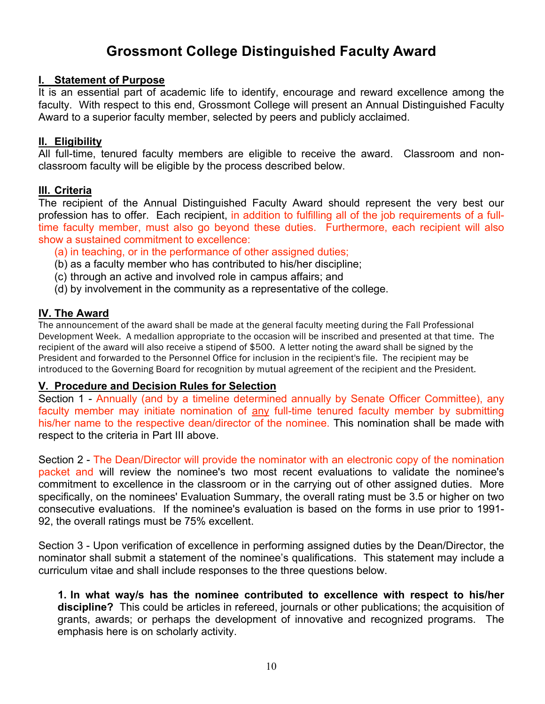## **Grossmont College Distinguished Faculty Award**

## **I. Statement of Purpose**

It is an essential part of academic life to identify, encourage and reward excellence among the faculty. With respect to this end, Grossmont College will present an Annual Distinguished Faculty Award to a superior faculty member, selected by peers and publicly acclaimed.

## **II. Eligibility**

All full-time, tenured faculty members are eligible to receive the award. Classroom and nonclassroom faculty will be eligible by the process described below.

## **III. Criteria**

The recipient of the Annual Distinguished Faculty Award should represent the very best our profession has to offer. Each recipient, in addition to fulfilling all of the job requirements of a fulltime faculty member, must also go beyond these duties. Furthermore, each recipient will also show a sustained commitment to excellence:

- (a) in teaching, or in the performance of other assigned duties;
- (b) as a faculty member who has contributed to his/her discipline;
- (c) through an active and involved role in campus affairs; and
- (d) by involvement in the community as a representative of the college.

## **IV. The Award**

The announcement of the award shall be made at the general faculty meeting during the Fall Professional Development Week. A medallion appropriate to the occasion will be inscribed and presented at that time. The recipient of the award will also receive a stipend of \$500. A letter noting the award shall be signed by the President and forwarded to the Personnel Office for inclusion in the recipient's file. The recipient may be introduced to the Governing Board for recognition by mutual agreement of the recipient and the President.

## **V. Procedure and Decision Rules for Selection**

Section 1 - Annually (and by a timeline determined annually by Senate Officer Committee), any faculty member may initiate nomination of any full-time tenured faculty member by submitting his/her name to the respective dean/director of the nominee. This nomination shall be made with respect to the criteria in Part III above.

Section 2 - The Dean/Director will provide the nominator with an electronic copy of the nomination packet and will review the nominee's two most recent evaluations to validate the nominee's commitment to excellence in the classroom or in the carrying out of other assigned duties. More specifically, on the nominees' Evaluation Summary, the overall rating must be 3.5 or higher on two consecutive evaluations. If the nominee's evaluation is based on the forms in use prior to 1991- 92, the overall ratings must be 75% excellent.

Section 3 - Upon verification of excellence in performing assigned duties by the Dean/Director, the nominator shall submit a statement of the nominee's qualifications. This statement may include a curriculum vitae and shall include responses to the three questions below.

**1. In what way/s has the nominee contributed to excellence with respect to his/her discipline?** This could be articles in refereed, journals or other publications; the acquisition of grants, awards; or perhaps the development of innovative and recognized programs. The emphasis here is on scholarly activity.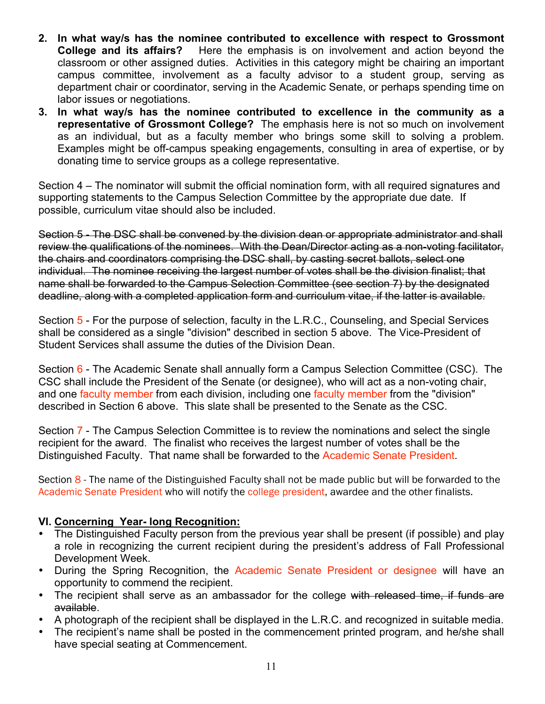- **2. In what way/s has the nominee contributed to excellence with respect to Grossmont College and its affairs?** Here the emphasis is on involvement and action beyond the classroom or other assigned duties. Activities in this category might be chairing an important campus committee, involvement as a faculty advisor to a student group, serving as department chair or coordinator, serving in the Academic Senate, or perhaps spending time on labor issues or negotiations.
- **3. In what way/s has the nominee contributed to excellence in the community as a representative of Grossmont College?** The emphasis here is not so much on involvement as an individual, but as a faculty member who brings some skill to solving a problem. Examples might be off-campus speaking engagements, consulting in area of expertise, or by donating time to service groups as a college representative.

Section 4 – The nominator will submit the official nomination form, with all required signatures and supporting statements to the Campus Selection Committee by the appropriate due date*.* If possible, curriculum vitae should also be included.

Section 5 - The DSC shall be convened by the division dean or appropriate administrator and shall review the qualifications of the nominees. With the Dean/Director acting as a non-voting facilitator, the chairs and coordinators comprising the DSC shall, by casting secret ballots, select one individual. The nominee receiving the largest number of votes shall be the division finalist; that name shall be forwarded to the Campus Selection Committee (see section 7) by the designated deadline, along with a completed application form and curriculum vitae, if the latter is available.

Section 5 - For the purpose of selection, faculty in the L.R.C., Counseling, and Special Services shall be considered as a single "division" described in section 5 above. The Vice-President of Student Services shall assume the duties of the Division Dean.

Section 6 - The Academic Senate shall annually form a Campus Selection Committee (CSC). The CSC shall include the President of the Senate (or designee), who will act as a non-voting chair, and one faculty member from each division, including one faculty member from the "division" described in Section 6 above. This slate shall be presented to the Senate as the CSC.

Section 7 - The Campus Selection Committee is to review the nominations and select the single recipient for the award. The finalist who receives the largest number of votes shall be the Distinguished Faculty. That name shall be forwarded to the Academic Senate President.

Section 8 - The name of the Distinguished Faculty shall not be made public but will be forwarded to the Academic Senate President who will notify the college president, awardee and the other finalists.

## **VI. Concerning Year- long Recognition:**

- The Distinguished Faculty person from the previous year shall be present (if possible) and play a role in recognizing the current recipient during the president's address of Fall Professional Development Week.
- During the Spring Recognition, the Academic Senate President or designee will have an opportunity to commend the recipient.
- The recipient shall serve as an ambassador for the college with released time, if funds are available.
- A photograph of the recipient shall be displayed in the L.R.C. and recognized in suitable media.
- The recipient's name shall be posted in the commencement printed program, and he/she shall have special seating at Commencement.